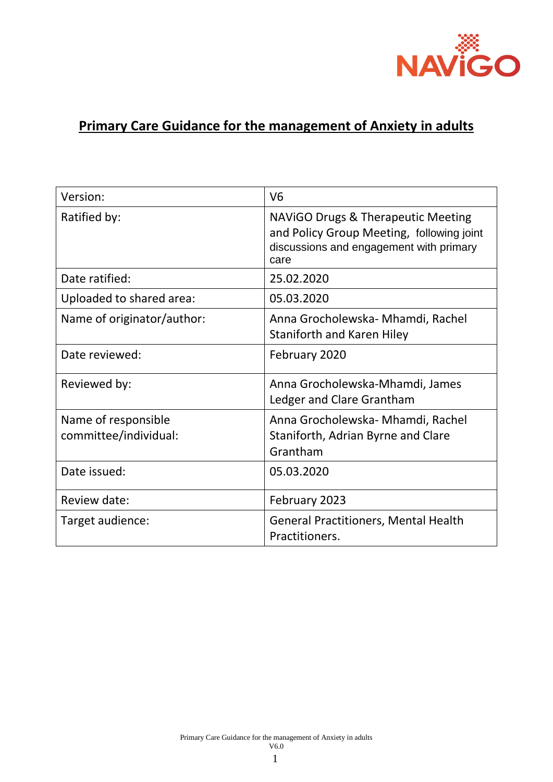

# **Primary Care Guidance for the management of Anxiety in adults**

| Version:                                     | V <sub>6</sub>                                                                                                                     |
|----------------------------------------------|------------------------------------------------------------------------------------------------------------------------------------|
| Ratified by:                                 | NAVIGO Drugs & Therapeutic Meeting<br>and Policy Group Meeting, following joint<br>discussions and engagement with primary<br>care |
| Date ratified:                               | 25.02.2020                                                                                                                         |
| Uploaded to shared area:                     | 05.03.2020                                                                                                                         |
| Name of originator/author:                   | Anna Grocholewska- Mhamdi, Rachel<br>Staniforth and Karen Hiley                                                                    |
| Date reviewed:                               | February 2020                                                                                                                      |
| Reviewed by:                                 | Anna Grocholewska-Mhamdi, James<br>Ledger and Clare Grantham                                                                       |
| Name of responsible<br>committee/individual: | Anna Grocholewska- Mhamdi, Rachel<br>Staniforth, Adrian Byrne and Clare<br>Grantham                                                |
| Date issued:                                 | 05.03.2020                                                                                                                         |
| Review date:                                 | February 2023                                                                                                                      |
| Target audience:                             | <b>General Practitioners, Mental Health</b><br>Practitioners.                                                                      |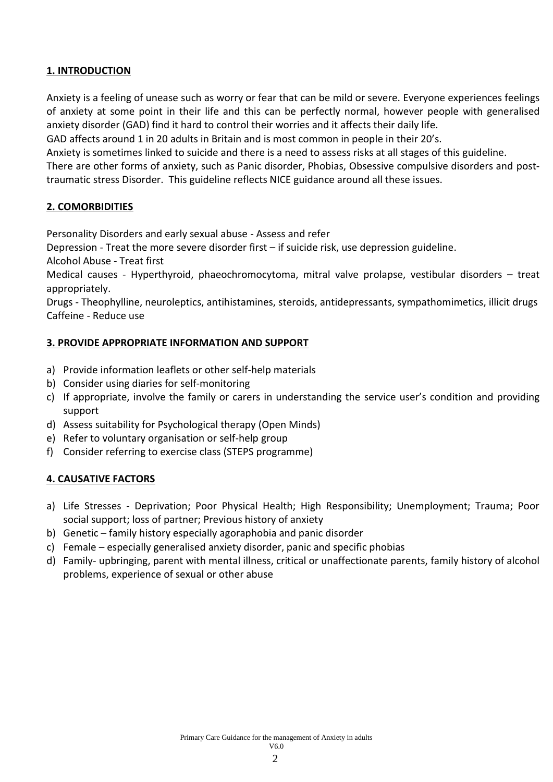#### **1. INTRODUCTION**

Anxiety is a feeling of unease such as worry or fear that can be mild or severe. Everyone experiences feelings of anxiety at some point in their life and this can be perfectly normal, however people with generalised anxiety disorder (GAD) find it hard to control their worries and it affects their daily life.

GAD affects around 1 in 20 adults in Britain and is most common in people in their 20's.

Anxiety is sometimes linked to suicide and there is a need to assess risks at all stages of this guideline.

There are other forms of anxiety, such as Panic disorder, Phobias, Obsessive compulsive disorders and posttraumatic stress Disorder. This guideline reflects NICE guidance around all these issues.

#### **2. COMORBIDITIES**

Personality Disorders and early sexual abuse - Assess and refer

Depression - Treat the more severe disorder first – if suicide risk, use depression guideline. Alcohol Abuse - Treat first

Medical causes - Hyperthyroid, phaeochromocytoma, mitral valve prolapse, vestibular disorders – treat appropriately.

Drugs - Theophylline, neuroleptics, antihistamines, steroids, antidepressants, sympathomimetics, illicit drugs Caffeine - Reduce use

#### **3. PROVIDE APPROPRIATE INFORMATION AND SUPPORT**

- a) Provide information leaflets or other self-help materials
- b) Consider using diaries for self-monitoring
- c) If appropriate, involve the family or carers in understanding the service user's condition and providing support
- d) Assess suitability for Psychological therapy (Open Minds)
- e) Refer to voluntary organisation or self-help group
- f) Consider referring to exercise class (STEPS programme)

#### **4. CAUSATIVE FACTORS**

- a) Life Stresses Deprivation; Poor Physical Health; High Responsibility; Unemployment; Trauma; Poor social support; loss of partner; Previous history of anxiety
- b) Genetic family history especially agoraphobia and panic disorder
- c) Female especially generalised anxiety disorder, panic and specific phobias
- d) Family- upbringing, parent with mental illness, critical or unaffectionate parents, family history of alcohol problems, experience of sexual or other abuse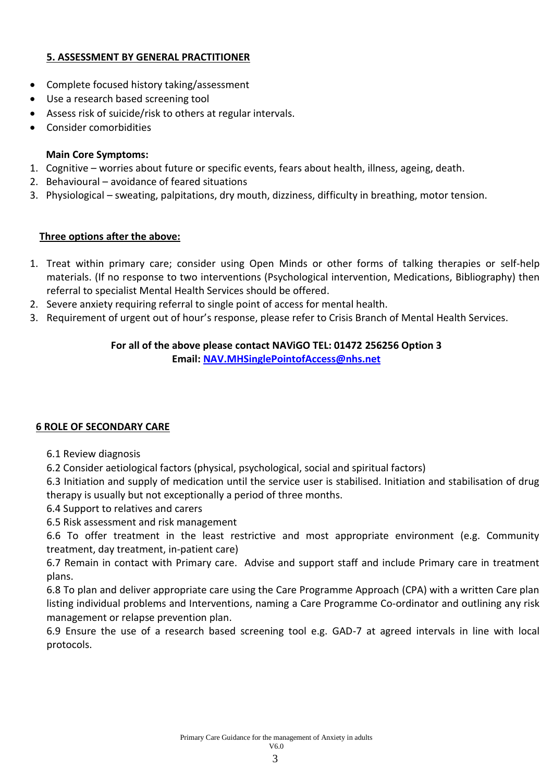#### **5. ASSESSMENT BY GENERAL PRACTITIONER**

- Complete focused history taking/assessment
- Use a research based screening tool
- Assess risk of suicide/risk to others at regular intervals.
- Consider comorbidities

#### **Main Core Symptoms:**

- 1. Cognitive worries about future or specific events, fears about health, illness, ageing, death.
- 2. Behavioural avoidance of feared situations
- 3. Physiological sweating, palpitations, dry mouth, dizziness, difficulty in breathing, motor tension.

#### **Three options after the above:**

- 1. Treat within primary care; consider using Open Minds or other forms of talking therapies or self-help materials. (If no response to two interventions (Psychological intervention, Medications, Bibliography) then referral to specialist Mental Health Services should be offered.
- 2. Severe anxiety requiring referral to single point of access for mental health.
- 3. Requirement of urgent out of hour's response, please refer to Crisis Branch of Mental Health Services.

#### **For all of the above please contact NAViGO TEL: 01472 256256 Option 3 Email: [NAV.MHSinglePointofAccess@nhs.net](mailto:NAV.MHSinglePointofAccess@nhs.net)**

#### **6 ROLE OF SECONDARY CARE**

6.1 Review diagnosis

6.2 Consider aetiological factors (physical, psychological, social and spiritual factors)

6.3 Initiation and supply of medication until the service user is stabilised. Initiation and stabilisation of drug therapy is usually but not exceptionally a period of three months.

6.4 Support to relatives and carers

6.5 Risk assessment and risk management

6.6 To offer treatment in the least restrictive and most appropriate environment (e.g. Community treatment, day treatment, in-patient care)

6.7 Remain in contact with Primary care. Advise and support staff and include Primary care in treatment plans.

6.8 To plan and deliver appropriate care using the Care Programme Approach (CPA) with a written Care plan listing individual problems and Interventions, naming a Care Programme Co-ordinator and outlining any risk management or relapse prevention plan.

6.9 Ensure the use of a research based screening tool e.g. GAD-7 at agreed intervals in line with local protocols.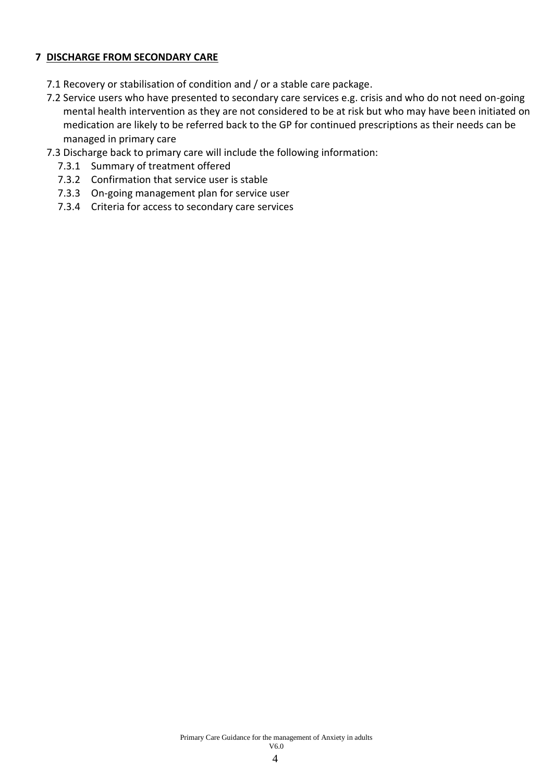#### **7 DISCHARGE FROM SECONDARY CARE**

- 7.1 Recovery or stabilisation of condition and / or a stable care package.
- 7.2 Service users who have presented to secondary care services e.g. crisis and who do not need on-going mental health intervention as they are not considered to be at risk but who may have been initiated on medication are likely to be referred back to the GP for continued prescriptions as their needs can be managed in primary care
- 7.3 Discharge back to primary care will include the following information:
	- 7.3.1 Summary of treatment offered
	- 7.3.2 Confirmation that service user is stable
	- 7.3.3 On-going management plan for service user
	- 7.3.4 Criteria for access to secondary care services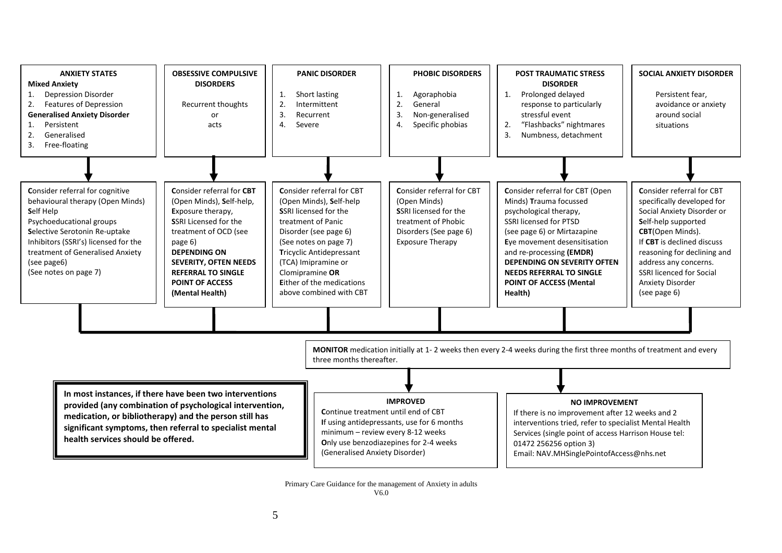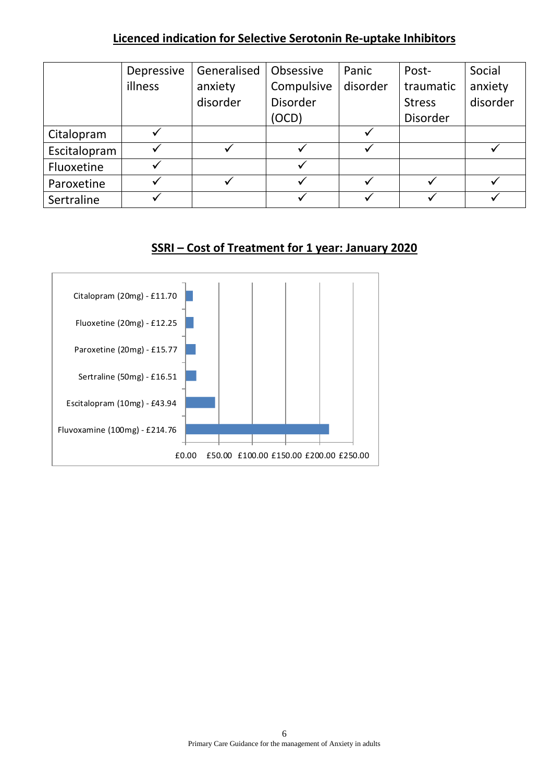## **Licenced indication for Selective Serotonin Re-uptake Inhibitors**

|              | Depressive | Generalised  | Obsessive  | Panic    | Post-         | Social   |
|--------------|------------|--------------|------------|----------|---------------|----------|
|              | illness    | anxiety      | Compulsive | disorder | traumatic     | anxiety  |
|              |            | disorder     | Disorder   |          | <b>Stress</b> | disorder |
|              |            |              | (OCD)      |          | Disorder      |          |
| Citalopram   |            |              |            |          |               |          |
| Escitalopram |            | $\checkmark$ |            |          |               |          |
| Fluoxetine   |            |              |            |          |               |          |
| Paroxetine   |            | ✓            |            |          |               |          |
| Sertraline   |            |              |            |          |               |          |

# **SSRI – Cost of Treatment for 1 year: January 2020**

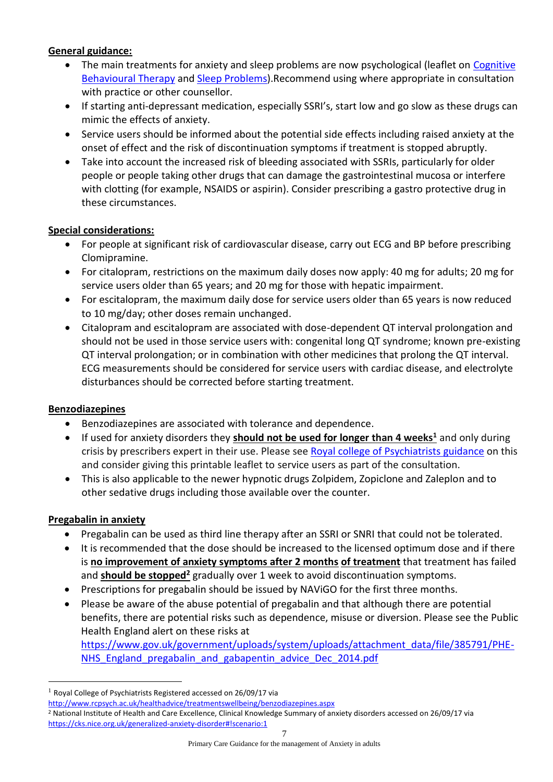#### **General guidance:**

- The main treatments for anxiety and sleep problems are now psychological (leaflet on Cognitive [Behavioural Therapy](http://www.rcpsych.ac.uk/healthadvice/treatmentswellbeing/cbt.aspx) and [Sleep Problems\)](http://www.rcpsych.ac.uk/healthadvice/problemsdisorders/sleepingwell.aspx).Recommend using where appropriate in consultation with practice or other counsellor.
- If starting anti-depressant medication, especially SSRI's, start low and go slow as these drugs can mimic the effects of anxiety.
- Service users should be informed about the potential side effects including raised anxiety at the onset of effect and the risk of discontinuation symptoms if treatment is stopped abruptly.
- Take into account the increased risk of bleeding associated with SSRIs, particularly for older people or people taking other drugs that can damage the gastrointestinal mucosa or interfere with clotting (for example, NSAIDS or aspirin). Consider prescribing a gastro protective drug in these circumstances.

#### **Special considerations:**

- For people at significant risk of cardiovascular disease, carry out ECG and BP before prescribing Clomipramine.
- For citalopram, restrictions on the maximum daily doses now apply: 40 mg for adults; 20 mg for service users older than 65 years; and 20 mg for those with hepatic impairment.
- For escitalopram, the maximum daily dose for service users older than 65 years is now reduced to 10 mg/day; other doses remain unchanged.
- Citalopram and escitalopram are associated with dose-dependent QT interval prolongation and should not be used in those service users with: congenital long QT syndrome; known pre-existing QT interval prolongation; or in combination with other medicines that prolong the QT interval. ECG measurements should be considered for service users with cardiac disease, and electrolyte disturbances should be corrected before starting treatment.

#### **Benzodiazepines**

- Benzodiazepines are associated with tolerance and dependence.
- If used for anxiety disorders they **should not be used for longer than 4 weeks<sup>1</sup>** and only during crisis by prescribers expert in their use. Please see [Royal college of Psychiatrists](http://www.rcpsych.ac.uk/healthadvice/treatmentswellbeing/benzodiazepines.aspx) guidance on this and consider giving this printable leaflet to service users as part of the consultation.
- This is also applicable to the newer hypnotic drugs Zolpidem, Zopiclone and Zaleplon and to other sedative drugs including those available over the counter.

#### **Pregabalin in anxiety**

 $\overline{a}$ 

- Pregabalin can be used as third line therapy after an SSRI or SNRI that could not be tolerated.
- It is recommended that the dose should be increased to the licensed optimum dose and if there is **no improvement of anxiety symptoms after 2 months of treatment** that treatment has failed and **should be stopped<sup>2</sup>** gradually over 1 week to avoid discontinuation symptoms.
- Prescriptions for pregabalin should be issued by NAViGO for the first three months.
- Please be aware of the abuse potential of pregabalin and that although there are potential benefits, there are potential risks such as dependence, misuse or diversion. Please see the Public Health England alert on these risks at [https://www.gov.uk/government/uploads/system/uploads/attachment\\_data/file/385791/PHE-](https://www.gov.uk/government/uploads/system/uploads/attachment_data/file/385791/PHE-NHS_England_pregabalin_and_gabapentin_advice_Dec_2014.pdf)NHS England pregabalin and gabapentin advice Dec 2014.pdf

 $1$  Royal College of Psychiatrists Registered accessed on 26/09/17 via

<http://www.rcpsych.ac.uk/healthadvice/treatmentswellbeing/benzodiazepines.aspx>

<sup>2</sup> National Institute of Health and Care Excellence, Clinical Knowledge Summary of anxiety disorders accessed on 26/09/17 via <https://cks.nice.org.uk/generalized-anxiety-disorder#!scenario:1>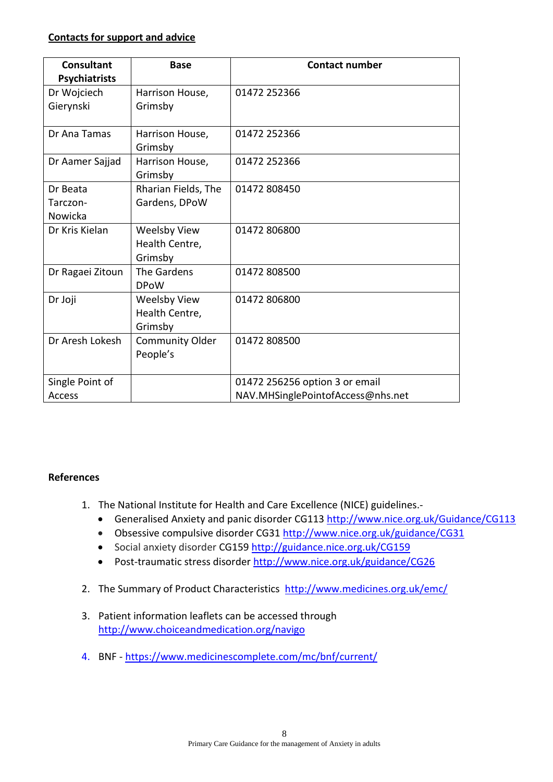#### **Contacts for support and advice**

| <b>Consultant</b>    | <b>Base</b>                                      | <b>Contact number</b>             |  |  |
|----------------------|--------------------------------------------------|-----------------------------------|--|--|
| <b>Psychiatrists</b> |                                                  |                                   |  |  |
| Dr Wojciech          | Harrison House,                                  | 01472 252366                      |  |  |
| Gierynski            | Grimsby                                          |                                   |  |  |
| Dr Ana Tamas         | Harrison House,<br>Grimsby                       | 01472 252366                      |  |  |
| Dr Aamer Sajjad      | Harrison House,<br>Grimsby                       | 01472 252366                      |  |  |
| Dr Beata             | Rharian Fields, The                              | 01472 808450                      |  |  |
| Tarczon-             | Gardens, DPoW                                    |                                   |  |  |
| Nowicka              |                                                  |                                   |  |  |
| Dr Kris Kielan       | <b>Weelsby View</b><br>Health Centre,<br>Grimsby | 01472 806800                      |  |  |
| Dr Ragaei Zitoun     | The Gardens<br><b>DPoW</b>                       | 01472 808500                      |  |  |
| Dr Joji              | <b>Weelsby View</b><br>Health Centre,<br>Grimsby | 01472 806800                      |  |  |
| Dr Aresh Lokesh      | <b>Community Older</b><br>People's               | 01472 808500                      |  |  |
| Single Point of      |                                                  | 01472 256256 option 3 or email    |  |  |
| Access               |                                                  | NAV.MHSinglePointofAccess@nhs.net |  |  |

#### **References**

- 1. The National Institute for Health and Care Excellence (NICE) guidelines.
	- Generalised Anxiety and panic disorder CG113<http://www.nice.org.uk/Guidance/CG113>
	- Obsessive compulsive disorder CG31 <http://www.nice.org.uk/guidance/CG31>
	- Social anxiety disorder CG159<http://guidance.nice.org.uk/CG159>
	- Post-traumatic stress disorder <http://www.nice.org.uk/guidance/CG26>
- 2. The Summary of Product Characteristics [http://www.medicines.org.uk/emc/](http://www.medicines.org.uk/emc/glossary.aspx?view=130)
- 3. Patient information leaflets can be accessed through <http://www.choiceandmedication.org/navigo>
- 4. BNF https://www.medicinescomplete.com/mc/bnf/current/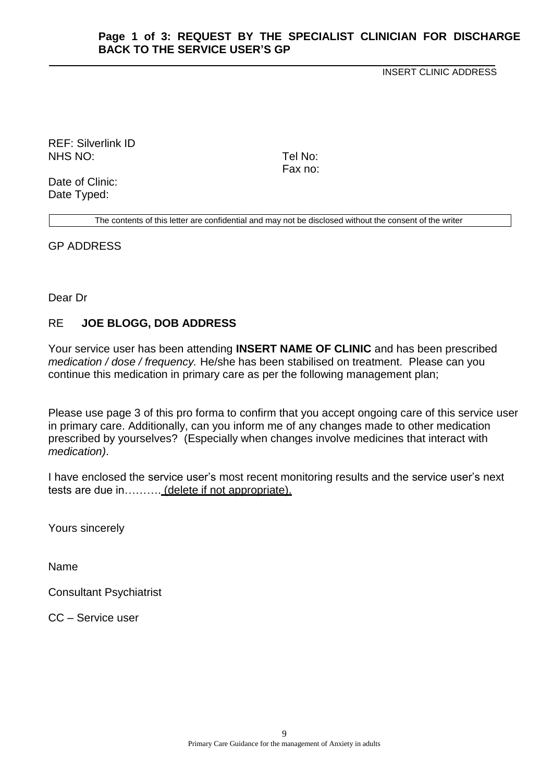#### **Page 1 of 3: REQUEST BY THE SPECIALIST CLINICIAN FOR DISCHARGE BACK TO THE SERVICE USER'S GP**

INSERT CLINIC ADDRESS

REF: Silverlink ID NHS NO: Tel No:

Fax no:

Date of Clinic: Date Typed:

The contents of this letter are confidential and may not be disclosed without the consent of the writer

GP ADDRESS

Dear Dr

#### RE **JOE BLOGG, DOB ADDRESS**

Your service user has been attending **INSERT NAME OF CLINIC** and has been prescribed *medication / dose / frequency.* He/she has been stabilised on treatment. Please can you continue this medication in primary care as per the following management plan;

Please use page 3 of this pro forma to confirm that you accept ongoing care of this service user in primary care. Additionally, can you inform me of any changes made to other medication prescribed by yourselves? (Especially when changes involve medicines that interact with *medication)*.

I have enclosed the service user's most recent monitoring results and the service user's next tests are due in………. (delete if not appropriate).

Yours sincerely

Name

Consultant Psychiatrist

CC – Service user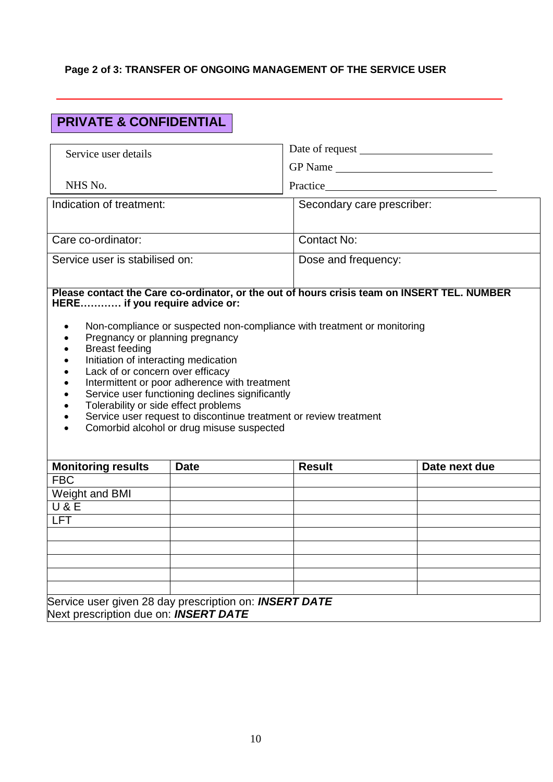# **Page 2 of 3: TRANSFER OF ONGOING MANAGEMENT OF THE SERVICE USER**

# **PRIVATE & CONFIDENTIAL**

| Service user details                                                                                                                                                                                                                                                                                                                                                                                                                                 |  |                            |               |  |
|------------------------------------------------------------------------------------------------------------------------------------------------------------------------------------------------------------------------------------------------------------------------------------------------------------------------------------------------------------------------------------------------------------------------------------------------------|--|----------------------------|---------------|--|
|                                                                                                                                                                                                                                                                                                                                                                                                                                                      |  | GP Name                    |               |  |
| NHS No.                                                                                                                                                                                                                                                                                                                                                                                                                                              |  |                            |               |  |
| Indication of treatment:                                                                                                                                                                                                                                                                                                                                                                                                                             |  | Secondary care prescriber: |               |  |
|                                                                                                                                                                                                                                                                                                                                                                                                                                                      |  |                            |               |  |
| Care co-ordinator:                                                                                                                                                                                                                                                                                                                                                                                                                                   |  | Contact No:                |               |  |
| Service user is stabilised on:                                                                                                                                                                                                                                                                                                                                                                                                                       |  | Dose and frequency:        |               |  |
| Please contact the Care co-ordinator, or the out of hours crisis team on INSERT TEL. NUMBER<br>HERE if you require advice or:<br>Non-compliance or suspected non-compliance with treatment or monitoring<br>Pregnancy or planning pregnancy<br><b>Breast feeding</b><br>Initiation of interacting medication<br>Lack of or concern over efficacy<br>Intermittent or poor adherence with treatment<br>Service user functioning declines significantly |  |                            |               |  |
| Tolerability or side effect problems<br>Service user request to discontinue treatment or review treatment<br>Comorbid alcohol or drug misuse suspected                                                                                                                                                                                                                                                                                               |  |                            |               |  |
| <b>Monitoring results</b><br><b>Date</b>                                                                                                                                                                                                                                                                                                                                                                                                             |  | <b>Result</b>              | Date next due |  |
| <b>FBC</b><br>Weight and BMI                                                                                                                                                                                                                                                                                                                                                                                                                         |  |                            |               |  |
| U & E                                                                                                                                                                                                                                                                                                                                                                                                                                                |  |                            |               |  |
| <b>LFT</b>                                                                                                                                                                                                                                                                                                                                                                                                                                           |  |                            |               |  |
|                                                                                                                                                                                                                                                                                                                                                                                                                                                      |  |                            |               |  |
|                                                                                                                                                                                                                                                                                                                                                                                                                                                      |  |                            |               |  |
|                                                                                                                                                                                                                                                                                                                                                                                                                                                      |  |                            |               |  |
|                                                                                                                                                                                                                                                                                                                                                                                                                                                      |  |                            |               |  |
| Service user given 28 day prescription on: INSERT DATE                                                                                                                                                                                                                                                                                                                                                                                               |  |                            |               |  |
| Next prescription due on: <b>INSERT DATE</b>                                                                                                                                                                                                                                                                                                                                                                                                         |  |                            |               |  |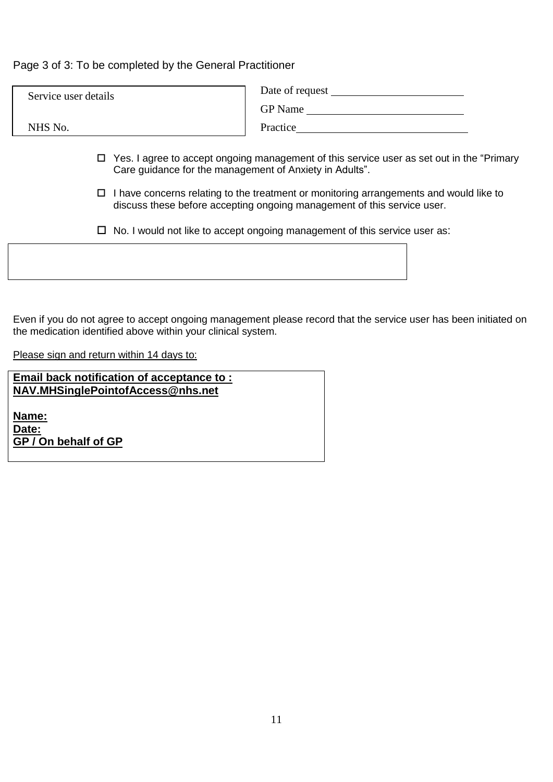Page 3 of 3: To be completed by the General Practitioner

| Service user details | Date of request |
|----------------------|-----------------|
|                      | <b>GP</b> Name  |
| NHS No.              | Practice        |
|                      |                 |

- Yes. I agree to accept ongoing management of this service user as set out in the "Primary Care guidance for the management of Anxiety in Adults".
- $\Box$  I have concerns relating to the treatment or monitoring arrangements and would like to discuss these before accepting ongoing management of this service user.
- $\Box$  No. I would not like to accept ongoing management of this service user as:

Even if you do not agree to accept ongoing management please record that the service user has been initiated on the medication identified above within your clinical system.

Please sign and return within 14 days to:

**Email back notification of acceptance to : NAV.MHSinglePointofAccess@nhs.net**

**Name: Date: GP / On behalf of GP**